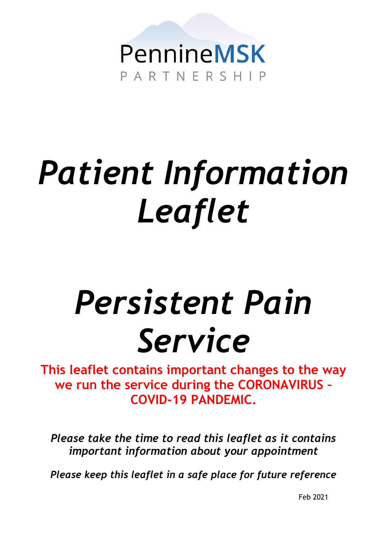

# *Patient Information Leaflet*

## *Persistent Pain Service*

**This leaflet contains important changes to the way we run the service during the CORONAVIRUS – COVID-19 PANDEMIC.**

*Please take the time to read this leaflet as it contains important information about your appointment*

*Please keep this leaflet in a safe place for future reference*

Feb 2021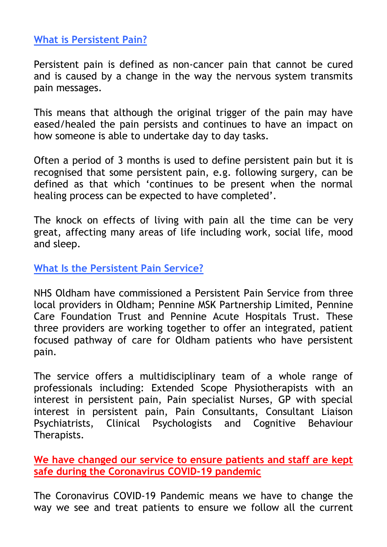#### **What is Persistent Pain?**

Persistent pain is defined as non-cancer pain that cannot be cured and is caused by a change in the way the nervous system transmits pain messages.

This means that although the original trigger of the pain may have eased/healed the pain persists and continues to have an impact on how someone is able to undertake day to day tasks.

Often a period of 3 months is used to define persistent pain but it is recognised that some persistent pain, e.g. following surgery, can be defined as that which 'continues to be present when the normal healing process can be expected to have completed'.

The knock on effects of living with pain all the time can be very great, affecting many areas of life including work, social life, mood and sleep.

**What Is the Persistent Pain Service?** 

NHS Oldham have commissioned a Persistent Pain Service from three local providers in Oldham; Pennine MSK Partnership Limited, Pennine Care Foundation Trust and Pennine Acute Hospitals Trust. These three providers are working together to offer an integrated, patient focused pathway of care for Oldham patients who have persistent pain.

The service offers a multidisciplinary team of a whole range of professionals including: Extended Scope Physiotherapists with an interest in persistent pain, Pain specialist Nurses, GP with special interest in persistent pain, Pain Consultants, Consultant Liaison Psychiatrists, Clinical Psychologists and Cognitive Behaviour Therapists.

**We have changed our service to ensure patients and staff are kept safe during the Coronavirus COVID-19 pandemic**

The Coronavirus COVID-19 Pandemic means we have to change the way we see and treat patients to ensure we follow all the current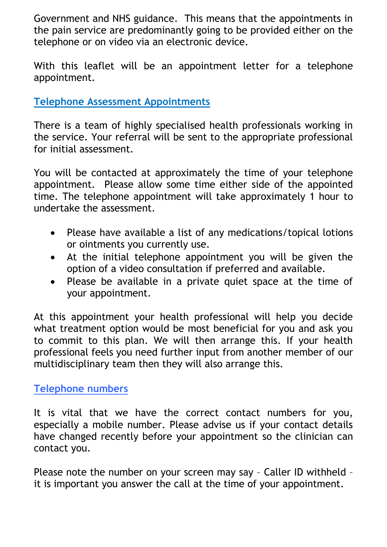Government and NHS guidance. This means that the appointments in the pain service are predominantly going to be provided either on the telephone or on video via an electronic device.

With this leaflet will be an appointment letter for a telephone appointment.

## **Telephone Assessment Appointments**

There is a team of highly specialised health professionals working in the service. Your referral will be sent to the appropriate professional for initial assessment.

You will be contacted at approximately the time of your telephone appointment. Please allow some time either side of the appointed time. The telephone appointment will take approximately 1 hour to undertake the assessment.

- Please have available a list of any medications/topical lotions or ointments you currently use.
- At the initial telephone appointment you will be given the option of a video consultation if preferred and available.
- Please be available in a private quiet space at the time of your appointment.

At this appointment your health professional will help you decide what treatment option would be most beneficial for you and ask you to commit to this plan. We will then arrange this. If your health professional feels you need further input from another member of our multidisciplinary team then they will also arrange this.

## **Telephone numbers**

It is vital that we have the correct contact numbers for you, especially a mobile number. Please advise us if your contact details have changed recently before your appointment so the clinician can contact you.

Please note the number on your screen may say – Caller ID withheld – it is important you answer the call at the time of your appointment.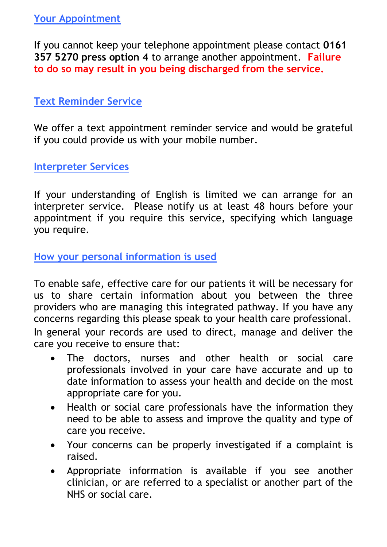If you cannot keep your telephone appointment please contact **0161 357 5270 press option 4** to arrange another appointment. **Failure to do so may result in you being discharged from the service.**

## **Text Reminder Service**

We offer a text appointment reminder service and would be grateful if you could provide us with your mobile number.

## **Interpreter Services**

If your understanding of English is limited we can arrange for an interpreter service. Please notify us at least 48 hours before your appointment if you require this service, specifying which language you require.

**How your personal information is used**

To enable safe, effective care for our patients it will be necessary for us to share certain information about you between the three providers who are managing this integrated pathway. If you have any concerns regarding this please speak to your health care professional. In general your records are used to direct, manage and deliver the care you receive to ensure that:

- The doctors, nurses and other health or social care professionals involved in your care have accurate and up to date information to assess your health and decide on the most appropriate care for you.
- Health or social care professionals have the information they need to be able to assess and improve the quality and type of care you receive.
- Your concerns can be properly investigated if a complaint is raised.
- Appropriate information is available if you see another clinician, or are referred to a specialist or another part of the NHS or social care.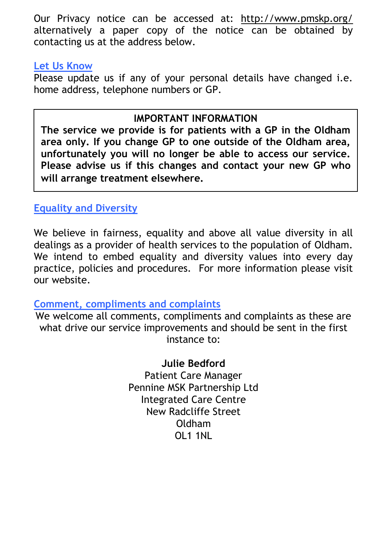Our Privacy notice can be accessed at: <http://www.pmskp.org/> alternatively a paper copy of the notice can be obtained by contacting us at the address below.

#### **Let Us Know**

Please update us if any of your personal details have changed i.e. home address, telephone numbers or GP.

## **IMPORTANT INFORMATION**

**Information Sharing will arrange treatment elsewhere.The service we provide is for patients with a GP in the Oldham area only. If you change GP to one outside of the Oldham area, unfortunately you will no longer be able to access our service. Please advise us if this changes and contact your new GP who** 

## **Equality and Diversity**

We believe in fairness, equality and above all value diversity in all dealings as a provider of health services to the population of Oldham. We intend to embed equality and diversity values into every day practice, policies and procedures. For more information please visit our website.

#### **Comment, compliments and complaints**

We welcome all comments, compliments and complaints as these are what drive our service improvements and should be sent in the first instance to:

#### **Julie Bedford**

Patient Care Manager Pennine MSK Partnership Ltd Integrated Care Centre New Radcliffe Street Oldham OL1 1NL